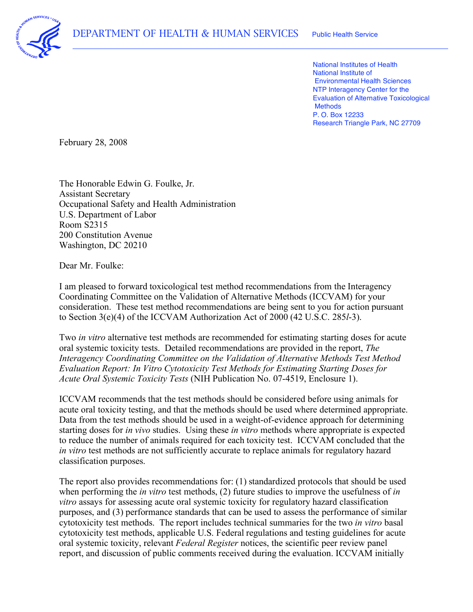

 National Institutes of Health National Institute of Environmental Health Sciences NTP Interagency Center for the Evaluation of Alternative Toxicological P. O. Box 12233 Research Triangle Park, NC 27709 **Methods** 

February 28, 2008

 The Honorable Edwin G. Foulke, Jr. U.S. Department of Labor Washington, DC 20210 Assistant Secretary Occupational Safety and Health Administration Room S2315 200 Constitution Avenue

Dear Mr. Foulke:

 I am pleased to forward toxicological test method recommendations from the Interagency Coordinating Committee on the Validation of Alternative Methods (ICCVAM) for your consideration. These test method recommendations are being sent to you for action pursuant to Section 3(e)(4) of the ICCVAM Authorization Act of 2000 (42 U.S.C. 285*l*-3).

 Two *in vitro* alternative test methods are recommended for estimating starting doses for acute oral systemic toxicity tests. Detailed recommendations are provided in the report, *The Interagency Coordinating Committee on the Validation of Alternative Methods Test Method Evaluation Report: In Vitro Cytotoxicity Test Methods for Estimating Starting Doses for Acute Oral Systemic Toxicity Tests* (NIH Publication No. 07-4519, Enclosure 1).

 ICCVAM recommends that the test methods should be considered before using animals for acute oral toxicity testing, and that the methods should be used where determined appropriate. Data from the test methods should be used in a weight-of-evidence approach for determining starting doses for *in vivo* studies. Using these *in vitro* methods where appropriate is expected to reduce the number of animals required for each toxicity test. ICCVAM concluded that the *in vitro* test methods are not sufficiently accurate to replace animals for regulatory hazard classification purposes.

 The report also provides recommendations for: (1) standardized protocols that should be used when performing the *in vitro* test methods, (2) future studies to improve the usefulness of *in vitro* assays for assessing acute oral systemic toxicity for regulatory hazard classification purposes, and (3) performance standards that can be used to assess the performance of similar cytotoxicity test methods. The report includes technical summaries for the two *in vitro* basal cytotoxicity test methods, applicable U.S. Federal regulations and testing guidelines for acute oral systemic toxicity, relevant *Federal Register* notices, the scientific peer review panel report, and discussion of public comments received during the evaluation. ICCVAM initially